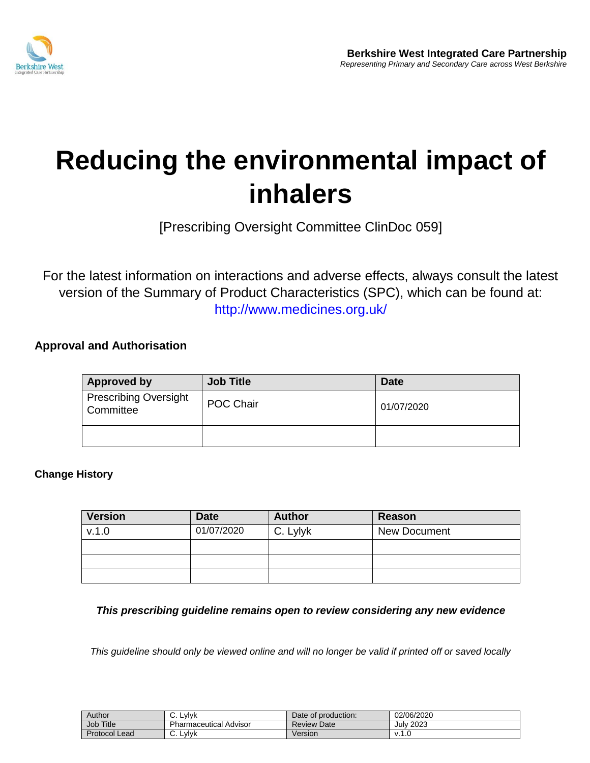

## **Reducing the environmental impact of inhalers**

[Prescribing Oversight Committee ClinDoc 059]

For the latest information on interactions and adverse effects, always consult the latest version of the Summary of Product Characteristics (SPC), which can be found at: http://www.medicines.org.uk/

## **Approval and Authorisation**

| <b>Approved by</b>                                     | <b>Job Title</b> | <b>Date</b> |
|--------------------------------------------------------|------------------|-------------|
| <b>Prescribing Oversight</b><br>POC Chair<br>Committee |                  | 01/07/2020  |
|                                                        |                  |             |

## **Change History**

| <b>Version</b> | <b>Date</b> | <b>Author</b> | Reason              |
|----------------|-------------|---------------|---------------------|
| v.1.0          | 01/07/2020  | C. Lylyk      | <b>New Document</b> |
|                |             |               |                     |
|                |             |               |                     |
|                |             |               |                     |

*This prescribing guideline remains open to review considering any new evidence*

*This guideline should only be viewed online and will no longer be valid if printed off or saved locally* 

| Author       | Lvivk<br>J.    | Date of production: | 02/06/2020   |
|--------------|----------------|---------------------|--------------|
| <b>Title</b> | Pharmaceutical | <b>Review</b>       | 2023         |
| Job          | Advisor        | Date                | July         |
| Protocol     | Lvlvk          | Version             | $\mathbf{v}$ |
| Lead         | ັ              |                     | ن.           |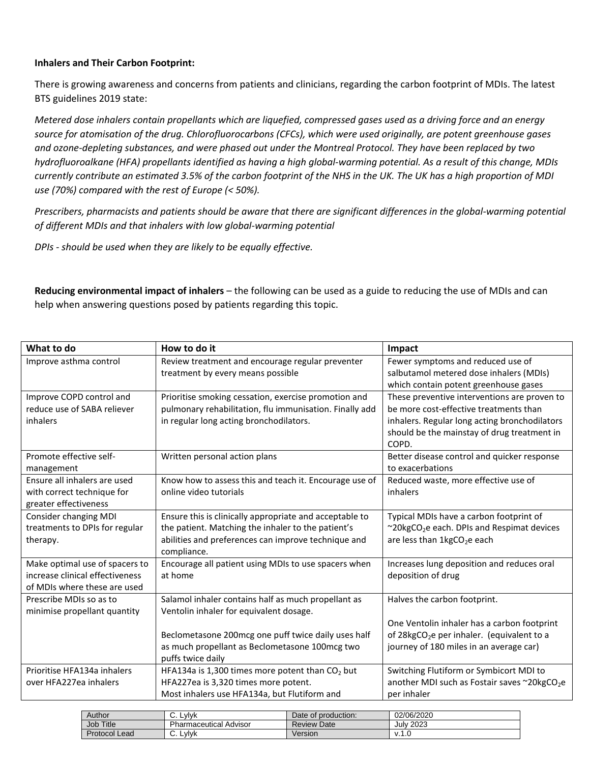## **Inhalers and Their Carbon Footprint:**

There is growing awareness and concerns from patients and clinicians, regarding the carbon footprint of MDIs. The latest BTS guidelines 2019 state:

*Metered dose inhalers contain propellants which are liquefied, compressed gases used as a driving force and an energy source for atomisation of the drug. Chlorofluorocarbons (CFCs), which were used originally, are potent greenhouse gases and ozone-depleting substances, and were phased out under the Montreal Protocol. They have been replaced by two hydrofluoroalkane (HFA) propellants identified as having a high global-warming potential. As a result of this change, MDIs currently contribute an estimated 3.5% of the carbon footprint of the NHS in the UK. The UK has a high proportion of MDI use (70%) compared with the rest of Europe (< 50%).*

*Prescribers, pharmacists and patients should be aware that there are significant differences in the global-warming potential of different MDIs and that inhalers with low global-warming potential*

*DPIs - should be used when they are likely to be equally effective.* 

**Reducing environmental impact of inhalers** – the following can be used as a guide to reducing the use of MDIs and can help when answering questions posed by patients regarding this topic.

| What to do                      | How to do it                                            | Impact                                                   |
|---------------------------------|---------------------------------------------------------|----------------------------------------------------------|
| Improve asthma control          | Review treatment and encourage regular preventer        | Fewer symptoms and reduced use of                        |
|                                 | treatment by every means possible                       | salbutamol metered dose inhalers (MDIs)                  |
|                                 |                                                         | which contain potent greenhouse gases                    |
| Improve COPD control and        | Prioritise smoking cessation, exercise promotion and    | These preventive interventions are proven to             |
| reduce use of SABA reliever     | pulmonary rehabilitation, flu immunisation. Finally add | be more cost-effective treatments than                   |
| inhalers                        | in regular long acting bronchodilators.                 | inhalers. Regular long acting bronchodilators            |
|                                 |                                                         | should be the mainstay of drug treatment in<br>COPD.     |
| Promote effective self-         | Written personal action plans                           | Better disease control and quicker response              |
| management                      |                                                         | to exacerbations                                         |
| Ensure all inhalers are used    | Know how to assess this and teach it. Encourage use of  | Reduced waste, more effective use of                     |
| with correct technique for      | online video tutorials                                  | inhalers                                                 |
| greater effectiveness           |                                                         |                                                          |
| Consider changing MDI           | Ensure this is clinically appropriate and acceptable to | Typical MDIs have a carbon footprint of                  |
| treatments to DPIs for regular  | the patient. Matching the inhaler to the patient's      | ~20kgCO <sub>2</sub> e each. DPIs and Respimat devices   |
| therapy.                        | abilities and preferences can improve technique and     | are less than 1kgCO <sub>2</sub> e each                  |
|                                 | compliance.                                             |                                                          |
| Make optimal use of spacers to  | Encourage all patient using MDIs to use spacers when    | Increases lung deposition and reduces oral               |
| increase clinical effectiveness | at home                                                 | deposition of drug                                       |
| of MDIs where these are used    |                                                         |                                                          |
| Prescribe MDIs so as to         | Salamol inhaler contains half as much propellant as     | Halves the carbon footprint.                             |
| minimise propellant quantity    | Ventolin inhaler for equivalent dosage.                 |                                                          |
|                                 |                                                         | One Ventolin inhaler has a carbon footprint              |
|                                 | Beclometasone 200mcg one puff twice daily uses half     | of 28kgCO <sub>2</sub> e per inhaler. (equivalent to a   |
|                                 | as much propellant as Beclometasone 100mcg two          | journey of 180 miles in an average car)                  |
|                                 | puffs twice daily                                       |                                                          |
| Prioritise HFA134a inhalers     | HFA134a is 1,300 times more potent than $CO2$ but       | Switching Flutiform or Symbicort MDI to                  |
| over HFA227ea inhalers          | HFA227ea is 3,320 times more potent.                    | another MDI such as Fostair saves ~20kgCO <sub>2</sub> e |
|                                 | Most inhalers use HFA134a, but Flutiform and            | per inhaler                                              |

| Author        | .vlvk<br><b>.</b>           | Date of production: | 02/06/2020       |
|---------------|-----------------------------|---------------------|------------------|
| Job Title     | Pharmaceutical<br>. Advisor | <b>Review Date</b>  | <b>July 2023</b> |
| Protocol Lead | Lvivk<br>J.                 | Version             | v. i .∪          |